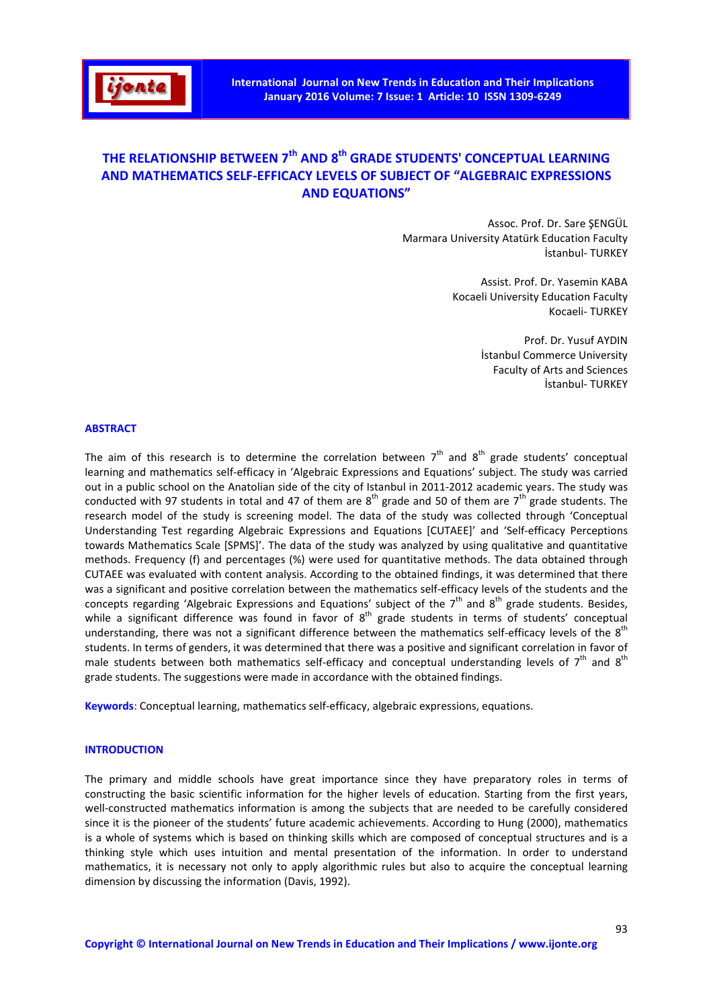

# THE RELATIONSHIP BETWEEN 7<sup>th</sup> AND 8<sup>th</sup> GRADE STUDENTS' CONCEPTUAL LEARNING AND MATHEMATICS SELF-EFFICACY LEVELS OF SUBJECT OF "ALGEBRAIC EXPRESSIONS AND EQUATIONS"

Assoc. Prof. Dr. Sare ŞENGÜL Marmara University Atatürk Education Faculty İstanbul- TURKEY

> Assist. Prof. Dr. Yasemin KABA Kocaeli University Education Faculty Kocaeli- TURKEY

> > Prof. Dr. Yusuf AYDIN İstanbul Commerce University Faculty of Arts and Sciences İstanbul- TURKEY

### ABSTRACT

The aim of this research is to determine the correlation between  $7<sup>th</sup>$  and  $8<sup>th</sup>$  grade students' conceptual learning and mathematics self-efficacy in 'Algebraic Expressions and Equations' subject. The study was carried out in a public school on the Anatolian side of the city of Istanbul in 2011-2012 academic years. The study was conducted with 97 students in total and 47 of them are  $8<sup>th</sup>$  grade and 50 of them are  $7<sup>th</sup>$  grade students. The research model of the study is screening model. The data of the study was collected through 'Conceptual Understanding Test regarding Algebraic Expressions and Equations [CUTAEE]' and 'Self-efficacy Perceptions towards Mathematics Scale [SPMS]'. The data of the study was analyzed by using qualitative and quantitative methods. Frequency (f) and percentages (%) were used for quantitative methods. The data obtained through CUTAEE was evaluated with content analysis. According to the obtained findings, it was determined that there was a significant and positive correlation between the mathematics self-efficacy levels of the students and the concepts regarding 'Algebraic Expressions and Equations' subject of the  $7<sup>th</sup>$  and  $8<sup>th</sup>$  grade students. Besides, while a significant difference was found in favor of  $8<sup>th</sup>$  grade students in terms of students' conceptual understanding, there was not a significant difference between the mathematics self-efficacy levels of the 8<sup>th</sup> students. In terms of genders, it was determined that there was a positive and significant correlation in favor of male students between both mathematics self-efficacy and conceptual understanding levels of  $7<sup>th</sup>$  and  $8<sup>th</sup>$ grade students. The suggestions were made in accordance with the obtained findings.

Keywords: Conceptual learning, mathematics self-efficacy, algebraic expressions, equations.

#### **INTRODUCTION**

The primary and middle schools have great importance since they have preparatory roles in terms of constructing the basic scientific information for the higher levels of education. Starting from the first years, well-constructed mathematics information is among the subjects that are needed to be carefully considered since it is the pioneer of the students' future academic achievements. According to Hung (2000), mathematics is a whole of systems which is based on thinking skills which are composed of conceptual structures and is a thinking style which uses intuition and mental presentation of the information. In order to understand mathematics, it is necessary not only to apply algorithmic rules but also to acquire the conceptual learning dimension by discussing the information (Davis, 1992).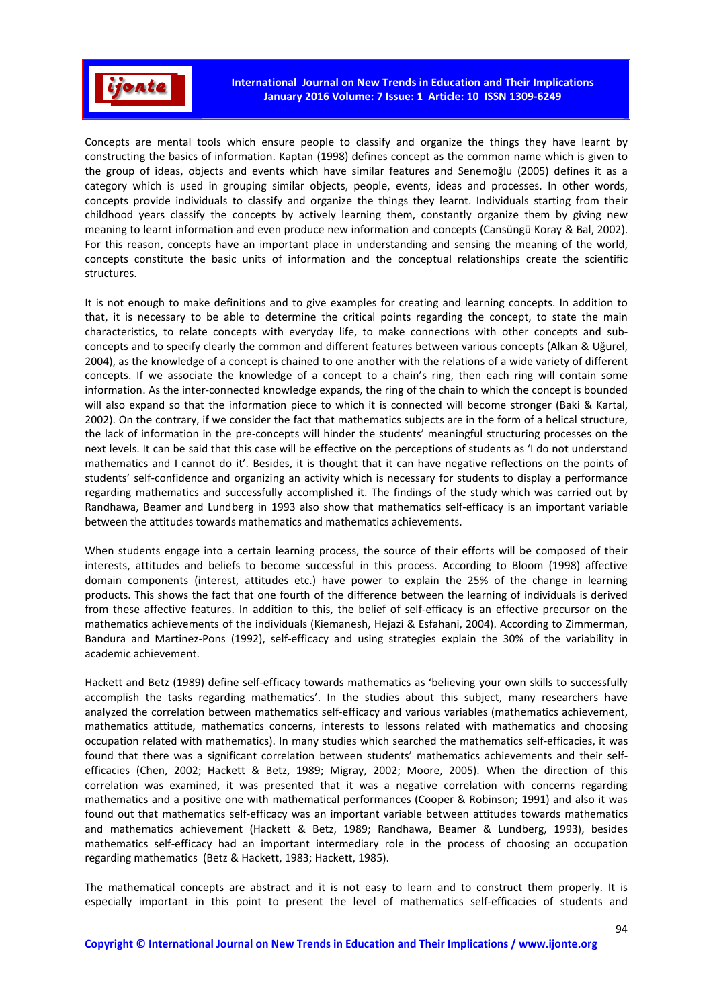

Concepts are mental tools which ensure people to classify and organize the things they have learnt by constructing the basics of information. Kaptan (1998) defines concept as the common name which is given to the group of ideas, objects and events which have similar features and Senemoğlu (2005) defines it as a category which is used in grouping similar objects, people, events, ideas and processes. In other words, concepts provide individuals to classify and organize the things they learnt. Individuals starting from their childhood years classify the concepts by actively learning them, constantly organize them by giving new meaning to learnt information and even produce new information and concepts (Cansüngü Koray & Bal, 2002). For this reason, concepts have an important place in understanding and sensing the meaning of the world, concepts constitute the basic units of information and the conceptual relationships create the scientific structures.

It is not enough to make definitions and to give examples for creating and learning concepts. In addition to that, it is necessary to be able to determine the critical points regarding the concept, to state the main characteristics, to relate concepts with everyday life, to make connections with other concepts and subconcepts and to specify clearly the common and different features between various concepts (Alkan & Uğurel, 2004), as the knowledge of a concept is chained to one another with the relations of a wide variety of different concepts. If we associate the knowledge of a concept to a chain's ring, then each ring will contain some information. As the inter-connected knowledge expands, the ring of the chain to which the concept is bounded will also expand so that the information piece to which it is connected will become stronger (Baki & Kartal, 2002). On the contrary, if we consider the fact that mathematics subjects are in the form of a helical structure, the lack of information in the pre-concepts will hinder the students' meaningful structuring processes on the next levels. It can be said that this case will be effective on the perceptions of students as 'I do not understand mathematics and I cannot do it'. Besides, it is thought that it can have negative reflections on the points of students' self-confidence and organizing an activity which is necessary for students to display a performance regarding mathematics and successfully accomplished it. The findings of the study which was carried out by Randhawa, Beamer and Lundberg in 1993 also show that mathematics self-efficacy is an important variable between the attitudes towards mathematics and mathematics achievements.

When students engage into a certain learning process, the source of their efforts will be composed of their interests, attitudes and beliefs to become successful in this process. According to Bloom (1998) affective domain components (interest, attitudes etc.) have power to explain the 25% of the change in learning products. This shows the fact that one fourth of the difference between the learning of individuals is derived from these affective features. In addition to this, the belief of self-efficacy is an effective precursor on the mathematics achievements of the individuals (Kiemanesh, Hejazi & Esfahani, 2004). According to Zimmerman, Bandura and Martinez-Pons (1992), self-efficacy and using strategies explain the 30% of the variability in academic achievement.

Hackett and Betz (1989) define self-efficacy towards mathematics as 'believing your own skills to successfully accomplish the tasks regarding mathematics'. In the studies about this subject, many researchers have analyzed the correlation between mathematics self-efficacy and various variables (mathematics achievement, mathematics attitude, mathematics concerns, interests to lessons related with mathematics and choosing occupation related with mathematics). In many studies which searched the mathematics self-efficacies, it was found that there was a significant correlation between students' mathematics achievements and their selfefficacies (Chen, 2002; Hackett & Betz, 1989; Migray, 2002; Moore, 2005). When the direction of this correlation was examined, it was presented that it was a negative correlation with concerns regarding mathematics and a positive one with mathematical performances (Cooper & Robinson; 1991) and also it was found out that mathematics self-efficacy was an important variable between attitudes towards mathematics and mathematics achievement (Hackett & Betz, 1989; Randhawa, Beamer & Lundberg, 1993), besides mathematics self-efficacy had an important intermediary role in the process of choosing an occupation regarding mathematics (Betz & Hackett, 1983; Hackett, 1985).

The mathematical concepts are abstract and it is not easy to learn and to construct them properly. It is especially important in this point to present the level of mathematics self-efficacies of students and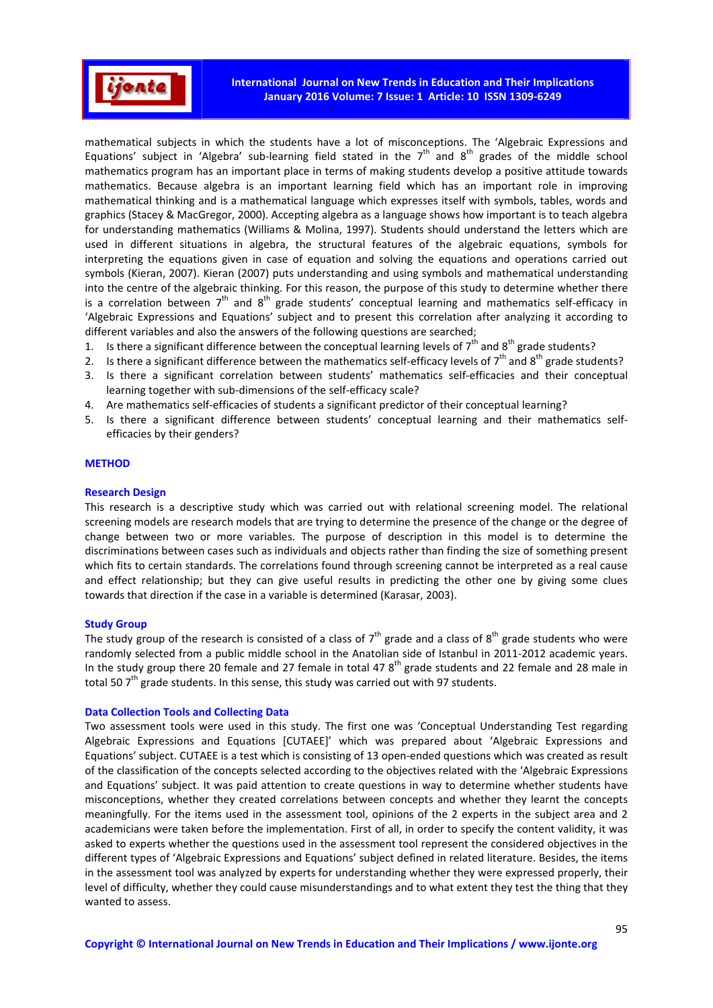

mathematical subjects in which the students have a lot of misconceptions. The 'Algebraic Expressions and Equations' subject in 'Algebra' sub-learning field stated in the  $7<sup>th</sup>$  and  $8<sup>th</sup>$  grades of the middle school mathematics program has an important place in terms of making students develop a positive attitude towards mathematics. Because algebra is an important learning field which has an important role in improving mathematical thinking and is a mathematical language which expresses itself with symbols, tables, words and graphics (Stacey & MacGregor, 2000). Accepting algebra as a language shows how important is to teach algebra for understanding mathematics (Williams & Molina, 1997). Students should understand the letters which are used in different situations in algebra, the structural features of the algebraic equations, symbols for interpreting the equations given in case of equation and solving the equations and operations carried out symbols (Kieran, 2007). Kieran (2007) puts understanding and using symbols and mathematical understanding into the centre of the algebraic thinking. For this reason, the purpose of this study to determine whether there is a correlation between  $7<sup>th</sup>$  and  $8<sup>th</sup>$  grade students' conceptual learning and mathematics self-efficacy in 'Algebraic Expressions and Equations' subject and to present this correlation after analyzing it according to different variables and also the answers of the following questions are searched;

- 1. Is there a significant difference between the conceptual learning levels of  $7^{th}$  and  $8^{th}$  grade students?
- 2. Is there a significant difference between the mathematics self-efficacy levels of  $7<sup>th</sup>$  and  $8<sup>th</sup>$  grade students?
- Is there a significant correlation between students' mathematics self-efficacies and their conceptual learning together with sub-dimensions of the self-efficacy scale?
- 4. Are mathematics self-efficacies of students a significant predictor of their conceptual learning?
- 5. Is there a significant difference between students' conceptual learning and their mathematics selfefficacies by their genders?

### **METHOD**

#### Research Design

This research is a descriptive study which was carried out with relational screening model. The relational screening models are research models that are trying to determine the presence of the change or the degree of change between two or more variables. The purpose of description in this model is to determine the discriminations between cases such as individuals and objects rather than finding the size of something present which fits to certain standards. The correlations found through screening cannot be interpreted as a real cause and effect relationship; but they can give useful results in predicting the other one by giving some clues towards that direction if the case in a variable is determined (Karasar, 2003).

### Study Group

The study group of the research is consisted of a class of  $7<sup>th</sup>$  grade and a class of  $8<sup>th</sup>$  grade students who were randomly selected from a public middle school in the Anatolian side of Istanbul in 2011-2012 academic years. In the study group there 20 female and 27 female in total 47  $8<sup>th</sup>$  grade students and 22 female and 28 male in total 50  $7<sup>th</sup>$  grade students. In this sense, this study was carried out with 97 students.

### Data Collection Tools and Collecting Data

Two assessment tools were used in this study. The first one was 'Conceptual Understanding Test regarding Algebraic Expressions and Equations [CUTAEE]' which was prepared about 'Algebraic Expressions and Equations' subject. CUTAEE is a test which is consisting of 13 open-ended questions which was created as result of the classification of the concepts selected according to the objectives related with the 'Algebraic Expressions and Equations' subject. It was paid attention to create questions in way to determine whether students have misconceptions, whether they created correlations between concepts and whether they learnt the concepts meaningfully. For the items used in the assessment tool, opinions of the 2 experts in the subject area and 2 academicians were taken before the implementation. First of all, in order to specify the content validity, it was asked to experts whether the questions used in the assessment tool represent the considered objectives in the different types of 'Algebraic Expressions and Equations' subject defined in related literature. Besides, the items in the assessment tool was analyzed by experts for understanding whether they were expressed properly, their level of difficulty, whether they could cause misunderstandings and to what extent they test the thing that they wanted to assess.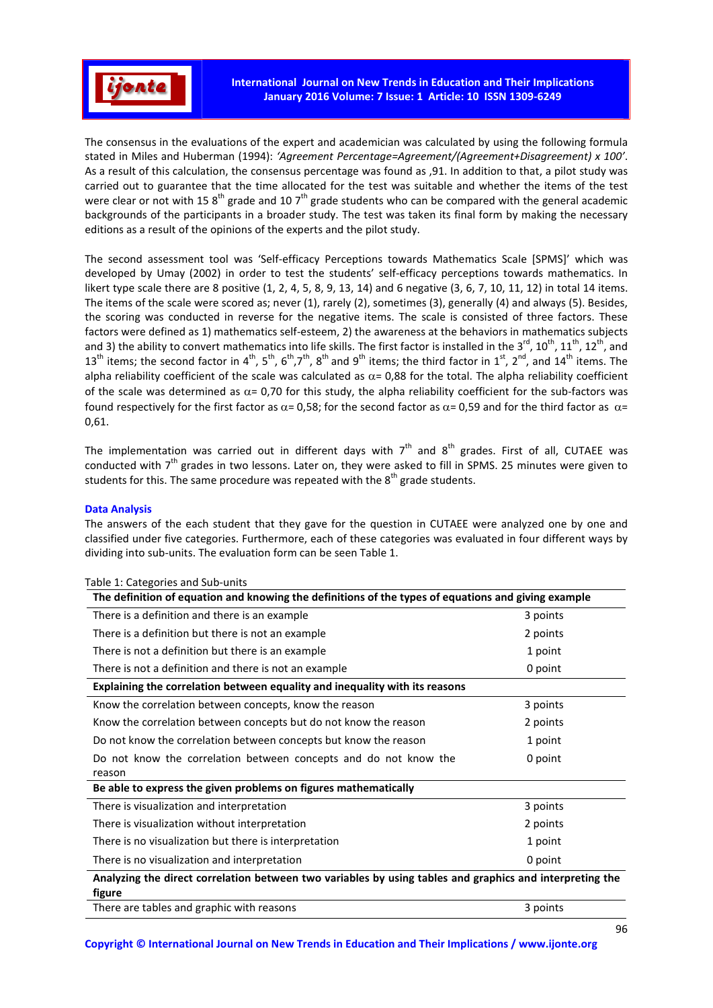

The consensus in the evaluations of the expert and academician was calculated by using the following formula stated in Miles and Huberman (1994): *'Agreement Percentage=Agreement/(Agreement+Disagreement) x 100'*. As a result of this calculation, the consensus percentage was found as ,91. In addition to that, a pilot study was carried out to guarantee that the time allocated for the test was suitable and whether the items of the test were clear or not with 15  $8^{th}$  grade and 10  $7^{th}$  grade students who can be compared with the general academic backgrounds of the participants in a broader study. The test was taken its final form by making the necessary editions as a result of the opinions of the experts and the pilot study.

The second assessment tool was 'Self-efficacy Perceptions towards Mathematics Scale [SPMS]' which was developed by Umay (2002) in order to test the students' self-efficacy perceptions towards mathematics. In likert type scale there are 8 positive (1, 2, 4, 5, 8, 9, 13, 14) and 6 negative (3, 6, 7, 10, 11, 12) in total 14 items. The items of the scale were scored as; never (1), rarely (2), sometimes (3), generally (4) and always (5). Besides, the scoring was conducted in reverse for the negative items. The scale is consisted of three factors. These factors were defined as 1) mathematics self-esteem, 2) the awareness at the behaviors in mathematics subjects and 3) the ability to convert mathematics into life skills. The first factor is installed in the  $3^{rd}$ ,  $10^{th}$ ,  $11^{th}$ ,  $12^{th}$ , and 13<sup>th</sup> items; the second factor in 4<sup>th</sup>, 5<sup>th</sup>, 6<sup>th</sup>,7<sup>th</sup>, 8<sup>th</sup> and 9<sup>th</sup> items; the third factor in 1<sup>st</sup>, 2<sup>nd</sup>, and 14<sup>th</sup> items. The alpha reliability coefficient of the scale was calculated as  $\alpha$  = 0,88 for the total. The alpha reliability coefficient of the scale was determined as  $\alpha$  = 0,70 for this study, the alpha reliability coefficient for the sub-factors was found respectively for the first factor as  $\alpha$  = 0,58; for the second factor as  $\alpha$  = 0,59 and for the third factor as  $\alpha$  = 0,61.

The implementation was carried out in different days with  $7<sup>th</sup>$  and  $8<sup>th</sup>$  grades. First of all, CUTAEE was conducted with 7<sup>th</sup> grades in two lessons. Later on, they were asked to fill in SPMS. 25 minutes were given to students for this. The same procedure was repeated with the  $8<sup>th</sup>$  grade students.

### Data Analysis

The answers of the each student that they gave for the question in CUTAEE were analyzed one by one and classified under five categories. Furthermore, each of these categories was evaluated in four different ways by dividing into sub-units. The evaluation form can be seen Table 1.

| The definition of equation and knowing the definitions of the types of equations and giving example                |          |  |  |  |  |  |
|--------------------------------------------------------------------------------------------------------------------|----------|--|--|--|--|--|
| There is a definition and there is an example                                                                      | 3 points |  |  |  |  |  |
| There is a definition but there is not an example                                                                  | 2 points |  |  |  |  |  |
| There is not a definition but there is an example                                                                  | 1 point  |  |  |  |  |  |
| There is not a definition and there is not an example                                                              | 0 point  |  |  |  |  |  |
| Explaining the correlation between equality and inequality with its reasons                                        |          |  |  |  |  |  |
| Know the correlation between concepts, know the reason                                                             | 3 points |  |  |  |  |  |
| Know the correlation between concepts but do not know the reason                                                   | 2 points |  |  |  |  |  |
| Do not know the correlation between concepts but know the reason                                                   | 1 point  |  |  |  |  |  |
| Do not know the correlation between concepts and do not know the                                                   | 0 point  |  |  |  |  |  |
| reason                                                                                                             |          |  |  |  |  |  |
| Be able to express the given problems on figures mathematically                                                    |          |  |  |  |  |  |
| There is visualization and interpretation                                                                          | 3 points |  |  |  |  |  |
| There is visualization without interpretation                                                                      | 2 points |  |  |  |  |  |
| There is no visualization but there is interpretation                                                              | 1 point  |  |  |  |  |  |
| There is no visualization and interpretation                                                                       | 0 point  |  |  |  |  |  |
| Analyzing the direct correlation between two variables by using tables and graphics and interpreting the<br>figure |          |  |  |  |  |  |

### Table 1: Categories and Sub-units

Copyright © International Journal on New Trends in Education and Their Implications / www.ijonte.org

There are tables and graphic with reasons 3 points 3 points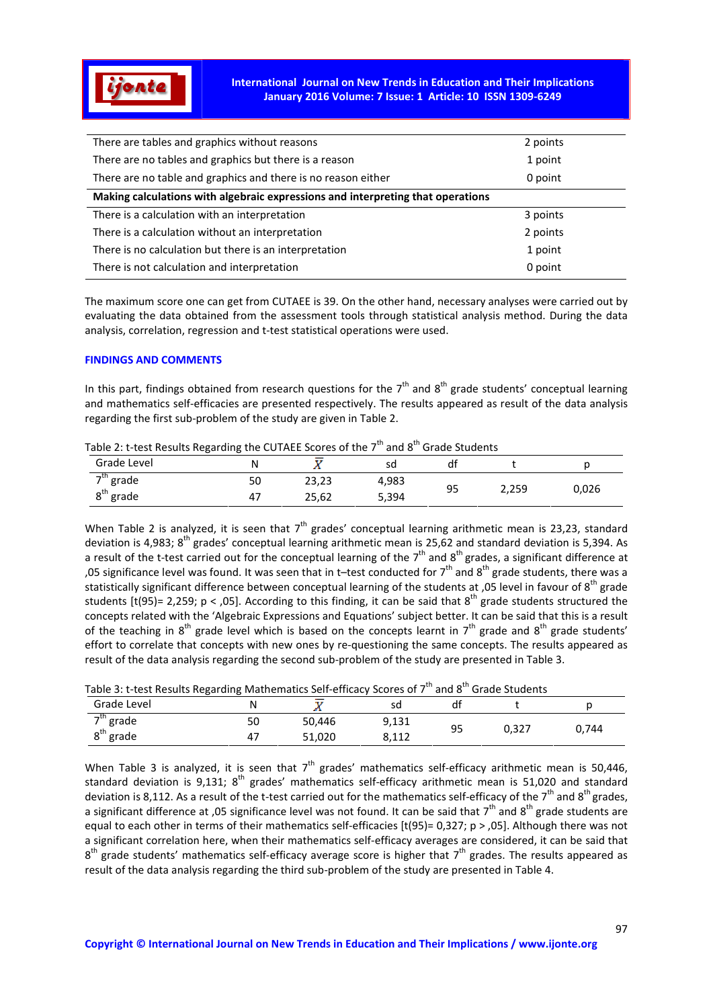

International Journal on New Trends in Education and Their Implications January 2016 Volume: 7 Issue: 1 Article: 10 ISSN 1309-6249

| There are tables and graphics without reasons                                   | 2 points |  |  |  |  |
|---------------------------------------------------------------------------------|----------|--|--|--|--|
| There are no tables and graphics but there is a reason                          | 1 point  |  |  |  |  |
| There are no table and graphics and there is no reason either                   | 0 point  |  |  |  |  |
| Making calculations with algebraic expressions and interpreting that operations |          |  |  |  |  |
| There is a calculation with an interpretation                                   | 3 points |  |  |  |  |
| There is a calculation without an interpretation                                | 2 points |  |  |  |  |
| There is no calculation but there is an interpretation                          | 1 point  |  |  |  |  |
| There is not calculation and interpretation                                     | 0 point  |  |  |  |  |
|                                                                                 |          |  |  |  |  |

The maximum score one can get from CUTAEE is 39. On the other hand, necessary analyses were carried out by evaluating the data obtained from the assessment tools through statistical analysis method. During the data analysis, correlation, regression and t-test statistical operations were used.

### FINDINGS AND COMMENTS

In this part, findings obtained from research questions for the  $7<sup>th</sup>$  and  $8<sup>th</sup>$  grade students' conceptual learning and mathematics self-efficacies are presented respectively. The results appeared as result of the data analysis regarding the first sub-problem of the study are given in Table 2.

| Table 2. Clest Results Regarding the COTALL SCOTES OF the 7 Tand of Grade Students |    |       |       |    |       |       |
|------------------------------------------------------------------------------------|----|-------|-------|----|-------|-------|
| Grade Level                                                                        |    |       |       |    |       |       |
| →th<br>grade                                                                       | 50 | 23,23 | 4,983 | 95 | 2,259 | 0.026 |
| $8^{\text{th}}$<br>" grade                                                         |    | 25,62 | 5,394 |    |       |       |

# Table 2: t-test Results Regarding the CUTAFE Scores of the  $7^{\text{th}}$  and  $8^{\text{th}}$  Grade Students

When Table 2 is analyzed, it is seen that  $7<sup>th</sup>$  grades' conceptual learning arithmetic mean is 23,23, standard deviation is 4,983; 8<sup>th</sup> grades' conceptual learning arithmetic mean is 25,62 and standard deviation is 5,394. As a result of the t-test carried out for the conceptual learning of the  $7<sup>th</sup>$  and  $8<sup>th</sup>$  grades, a significant difference at ,05 significance level was found. It was seen that in t-test conducted for  $7<sup>th</sup>$  and  $8<sup>th</sup>$  grade students, there was a statistically significant difference between conceptual learning of the students at ,05 level in favour of 8<sup>th</sup> grade students  $[t(95)= 2.259$ ; p < 0.05]. According to this finding, it can be said that  $8^{th}$  grade students structured the concepts related with the 'Algebraic Expressions and Equations' subject better. It can be said that this is a result of the teaching in  $8^{th}$  grade level which is based on the concepts learnt in  $7^{th}$  grade and  $8^{th}$  grade students' effort to correlate that concepts with new ones by re-questioning the same concepts. The results appeared as result of the data analysis regarding the second sub-problem of the study are presented in Table 3.

| Table 3: t-test Results Regarding Mathematics Self-efficacy Scores of 7 Tand 8 TGrade Students |    |        |       |    |       |       |  |
|------------------------------------------------------------------------------------------------|----|--------|-------|----|-------|-------|--|
| Grade Level                                                                                    |    |        |       |    |       |       |  |
| $7^{th}$ grade                                                                                 | 50 | 50.446 | 9.131 | 95 | 0.327 | 0.744 |  |
| $8th$ grade                                                                                    |    | 51.020 | 8.112 |    |       |       |  |

## Table 3: t-test Results Regarding Mathematics Self-efficacy Scores of  $7^{th}$  and 8<sup>th</sup> Grade Students

When Table 3 is analyzed, it is seen that  $7<sup>th</sup>$  grades' mathematics self-efficacy arithmetic mean is 50,446, standard deviation is 9,131;  $8<sup>th</sup>$  grades' mathematics self-efficacy arithmetic mean is 51,020 and standard deviation is 8,112. As a result of the t-test carried out for the mathematics self-efficacy of the  $7<sup>th</sup>$  and  $8<sup>th</sup>$  grades, a significant difference at ,05 significance level was not found. It can be said that  $7<sup>th</sup>$  and  $8<sup>th</sup>$  grade students are equal to each other in terms of their mathematics self-efficacies [t(95)= 0,327; p > ,05]. Although there was not a significant correlation here, when their mathematics self-efficacy averages are considered, it can be said that  $8<sup>th</sup>$  grade students' mathematics self-efficacy average score is higher that  $7<sup>th</sup>$  grades. The results appeared as result of the data analysis regarding the third sub-problem of the study are presented in Table 4.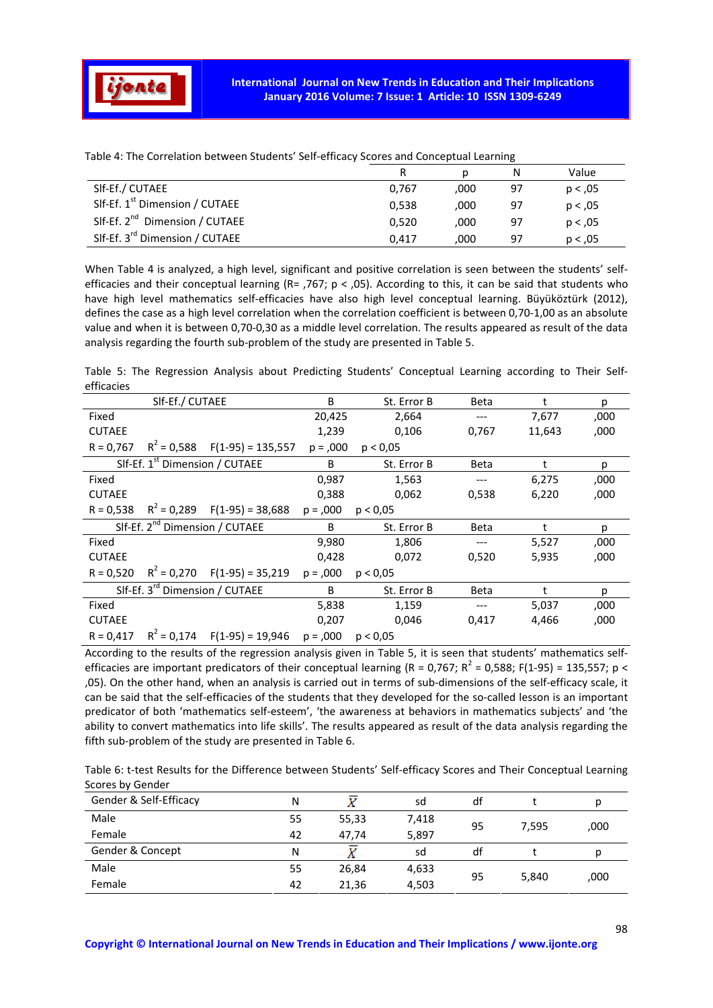

|                                            | R     |      | N  | Value    |
|--------------------------------------------|-------|------|----|----------|
| SIf-Ef./ CUTAEE                            | 0,767 | ,000 | 97 | p < 0.05 |
| SIf-Ef. 1 <sup>st</sup> Dimension / CUTAEE | 0.538 | .000 | 97 | p < 0.05 |
| SIf-Ef. 2 <sup>nd</sup> Dimension / CUTAEE | 0.520 | .000 | 97 | p < 0.05 |
| SIf-Ef. 3 <sup>rd</sup> Dimension / CUTAEE | 0.417 | .000 | 97 | p < 0.05 |

Table 4: The Correlation between Students' Self-efficacy Scores and Conceptual Learning

When Table 4 is analyzed, a high level, significant and positive correlation is seen between the students' selfefficacies and their conceptual learning (R= ,767;  $p <$  ,05). According to this, it can be said that students who have high level mathematics self-efficacies have also high level conceptual learning. Büyüköztürk (2012), defines the case as a high level correlation when the correlation coefficient is between 0,70-1,00 as an absolute value and when it is between 0,70-0,30 as a middle level correlation. The results appeared as result of the data analysis regarding the fourth sub-problem of the study are presented in Table 5.

Table 5: The Regression Analysis about Predicting Students' Conceptual Learning according to Their Selfefficacies

|               | SIf-Ef./ CUTAEE |                                            | B           | St. Error B | Beta        | t      | р    |
|---------------|-----------------|--------------------------------------------|-------------|-------------|-------------|--------|------|
| Fixed         |                 |                                            | 20,425      | 2,664       |             | 7,677  | ,000 |
| <b>CUTAEE</b> |                 |                                            | 1,239       | 0,106       | 0,767       | 11,643 | ,000 |
| $R = 0,767$   |                 | $R^2$ = 0,588 F(1-95) = 135,557            | $p = 0.000$ | p < 0.05    |             |        |      |
|               |                 | SIf-Ef. 1 <sup>st</sup> Dimension / CUTAEE | B           | St. Error B | Beta        | t      | р    |
| Fixed         |                 |                                            | 0,987       | 1,563       | ---         | 6,275  | ,000 |
| <b>CUTAEE</b> |                 |                                            | 0,388       | 0,062       | 0,538       | 6,220  | ,000 |
| $R = 0,538$   |                 | $R^2$ = 0,289 F(1-95) = 38,688             | $p = 0.000$ | p < 0.05    |             |        |      |
|               |                 |                                            |             |             |             |        |      |
|               |                 | SIf-Ef. 2 <sup>nd</sup> Dimension / CUTAEE | B           | St. Error B | <b>Beta</b> | t      | р    |
| Fixed         |                 |                                            | 9,980       | 1,806       | ---         | 5,527  | ,000 |
| <b>CUTAEE</b> |                 |                                            | 0,428       | 0,072       | 0,520       | 5,935  | ,000 |
| $R = 0,520$   |                 | $R^2 = 0,270$ F(1-95) = 35,219             | $p = 0.000$ | p < 0.05    |             |        |      |
|               |                 | SIf-Ef. 3 <sup>rd</sup> Dimension / CUTAEE | B           | St. Error B | Beta        | t      | р    |
| Fixed         |                 |                                            | 5,838       | 1,159       |             | 5,037  | ,000 |
| <b>CUTAEE</b> |                 |                                            | 0,207       | 0,046       | 0,417       | 4,466  | ,000 |

According to the results of the regression analysis given in Table 5, it is seen that students' mathematics selfefficacies are important predicators of their conceptual learning (R = 0,767; R<sup>2</sup> = 0,588; F(1-95) = 135,557; p < ,05). On the other hand, when an analysis is carried out in terms of sub-dimensions of the self-efficacy scale, it can be said that the self-efficacies of the students that they developed for the so-called lesson is an important predicator of both 'mathematics self-esteem', 'the awareness at behaviors in mathematics subjects' and 'the ability to convert mathematics into life skills'. The results appeared as result of the data analysis regarding the fifth sub-problem of the study are presented in Table 6.

Table 6: t-test Results for the Difference between Students' Self-efficacy Scores and Their Conceptual Learning Scores by Gender

| Gender & Self-Efficacy | Ν  |       | sd    | df |       |      |
|------------------------|----|-------|-------|----|-------|------|
| Male                   | 55 | 55,33 | 7,418 | 95 | 7,595 | ,000 |
| Female                 | 42 | 47,74 | 5,897 |    |       |      |
| Gender & Concept       | Ν  |       | sd    | df |       |      |
| Male                   | 55 | 26,84 | 4,633 | 95 |       |      |
| Female                 | 42 | 21,36 | 4,503 |    | 5,840 | ,000 |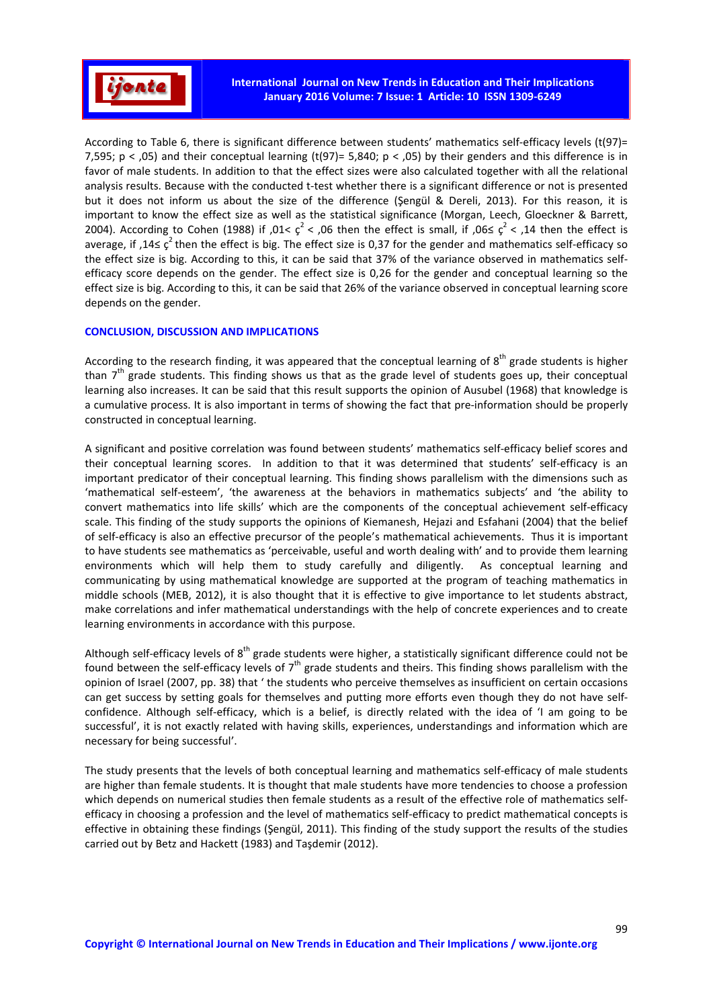

According to Table 6, there is significant difference between students' mathematics self-efficacy levels (t(97)= 7,595;  $p <$ ,05) and their conceptual learning (t(97)= 5,840;  $p <$ ,05) by their genders and this difference is in favor of male students. In addition to that the effect sizes were also calculated together with all the relational analysis results. Because with the conducted t-test whether there is a significant difference or not is presented but it does not inform us about the size of the difference (Şengül & Dereli, 2013). For this reason, it is important to know the effect size as well as the statistical significance (Morgan, Leech, Gloeckner & Barrett, 2004). According to Cohen (1988) if ,01<  $\varsigma^2$  < ,06 then the effect is small, if ,06≤  $\varsigma^2$  < ,14 then the effect is average, if ,14 $\leq c^2$  then the effect is big. The effect size is 0,37 for the gender and mathematics self-efficacy so the effect size is big. According to this, it can be said that 37% of the variance observed in mathematics selfefficacy score depends on the gender. The effect size is 0,26 for the gender and conceptual learning so the effect size is big. According to this, it can be said that 26% of the variance observed in conceptual learning score depends on the gender.

### CONCLUSION, DISCUSSION AND IMPLICATIONS

According to the research finding, it was appeared that the conceptual learning of  $8<sup>th</sup>$  grade students is higher than  $7<sup>th</sup>$  grade students. This finding shows us that as the grade level of students goes up, their conceptual learning also increases. It can be said that this result supports the opinion of Ausubel (1968) that knowledge is a cumulative process. It is also important in terms of showing the fact that pre-information should be properly constructed in conceptual learning.

A significant and positive correlation was found between students' mathematics self-efficacy belief scores and their conceptual learning scores. In addition to that it was determined that students' self-efficacy is an important predicator of their conceptual learning. This finding shows parallelism with the dimensions such as 'mathematical self-esteem', 'the awareness at the behaviors in mathematics subjects' and 'the ability to convert mathematics into life skills' which are the components of the conceptual achievement self-efficacy scale. This finding of the study supports the opinions of Kiemanesh, Hejazi and Esfahani (2004) that the belief of self-efficacy is also an effective precursor of the people's mathematical achievements. Thus it is important to have students see mathematics as 'perceivable, useful and worth dealing with' and to provide them learning environments which will help them to study carefully and diligently. As conceptual learning and communicating by using mathematical knowledge are supported at the program of teaching mathematics in middle schools (MEB, 2012), it is also thought that it is effective to give importance to let students abstract, make correlations and infer mathematical understandings with the help of concrete experiences and to create learning environments in accordance with this purpose.

Although self-efficacy levels of  $8<sup>th</sup>$  grade students were higher, a statistically significant difference could not be found between the self-efficacy levels of 7<sup>th</sup> grade students and theirs. This finding shows parallelism with the opinion of Israel (2007, pp. 38) that ' the students who perceive themselves as insufficient on certain occasions can get success by setting goals for themselves and putting more efforts even though they do not have selfconfidence. Although self-efficacy, which is a belief, is directly related with the idea of 'I am going to be successful', it is not exactly related with having skills, experiences, understandings and information which are necessary for being successful'.

The study presents that the levels of both conceptual learning and mathematics self-efficacy of male students are higher than female students. It is thought that male students have more tendencies to choose a profession which depends on numerical studies then female students as a result of the effective role of mathematics selfefficacy in choosing a profession and the level of mathematics self-efficacy to predict mathematical concepts is effective in obtaining these findings (Şengül, 2011). This finding of the study support the results of the studies carried out by Betz and Hackett (1983) and Taşdemir (2012).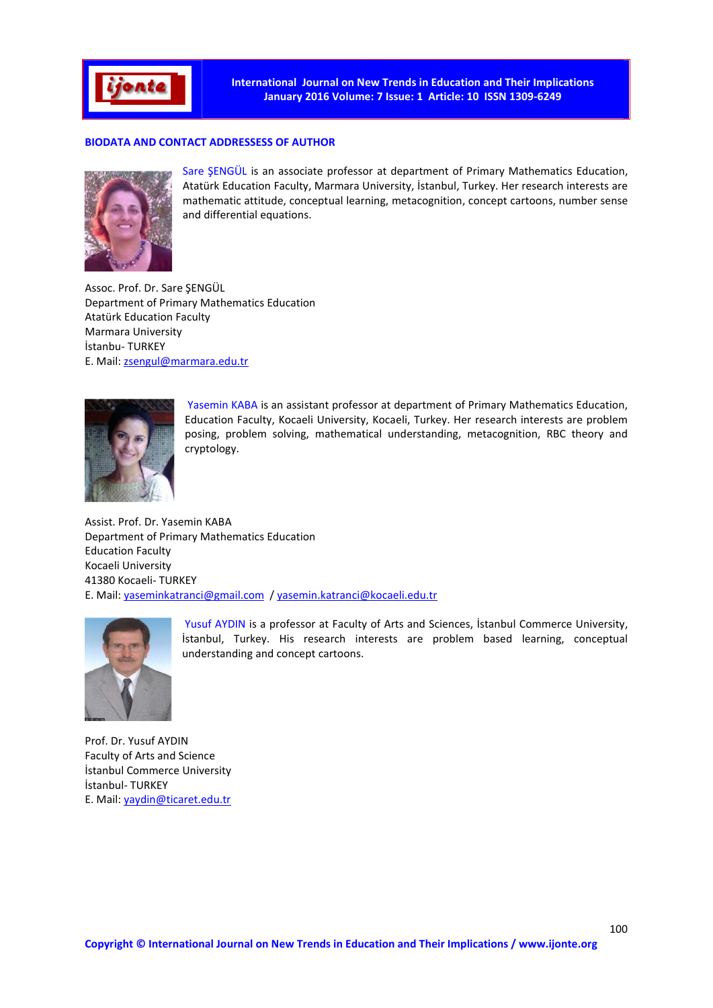

International Journal on New Trends in Education and Their Implications January 2016 Volume: 7 Issue: 1 Article: 10 ISSN 1309-6249

### BIODATA AND CONTACT ADDRESSESS OF AUTHOR



Sare ŞENGÜL is an associate professor at department of Primary Mathematics Education, Atatürk Education Faculty, Marmara University, İstanbul, Turkey. Her research interests are mathematic attitude, conceptual learning, metacognition, concept cartoons, number sense and differential equations.

Assoc. Prof. Dr. Sare ŞENGÜL Department of Primary Mathematics Education Atatürk Education Faculty Marmara University İstanbu- TURKEY E. Mail: zsengul@marmara.edu.tr



Yasemin KABA is an assistant professor at department of Primary Mathematics Education, Education Faculty, Kocaeli University, Kocaeli, Turkey. Her research interests are problem posing, problem solving, mathematical understanding, metacognition, RBC theory and cryptology.

Assist. Prof. Dr. Yasemin KABA Department of Primary Mathematics Education Education Faculty Kocaeli University 41380 Kocaeli- TURKEY E. Mail: yaseminkatranci@gmail.com / yasemin.katranci@kocaeli.edu.tr



Yusuf AYDIN is a professor at Faculty of Arts and Sciences, İstanbul Commerce University, İstanbul, Turkey. His research interests are problem based learning, conceptual understanding and concept cartoons.

Prof. Dr. Yusuf AYDIN Faculty of Arts and Science İstanbul Commerce University İstanbul- TURKEY E. Mail: yaydin@ticaret.edu.tr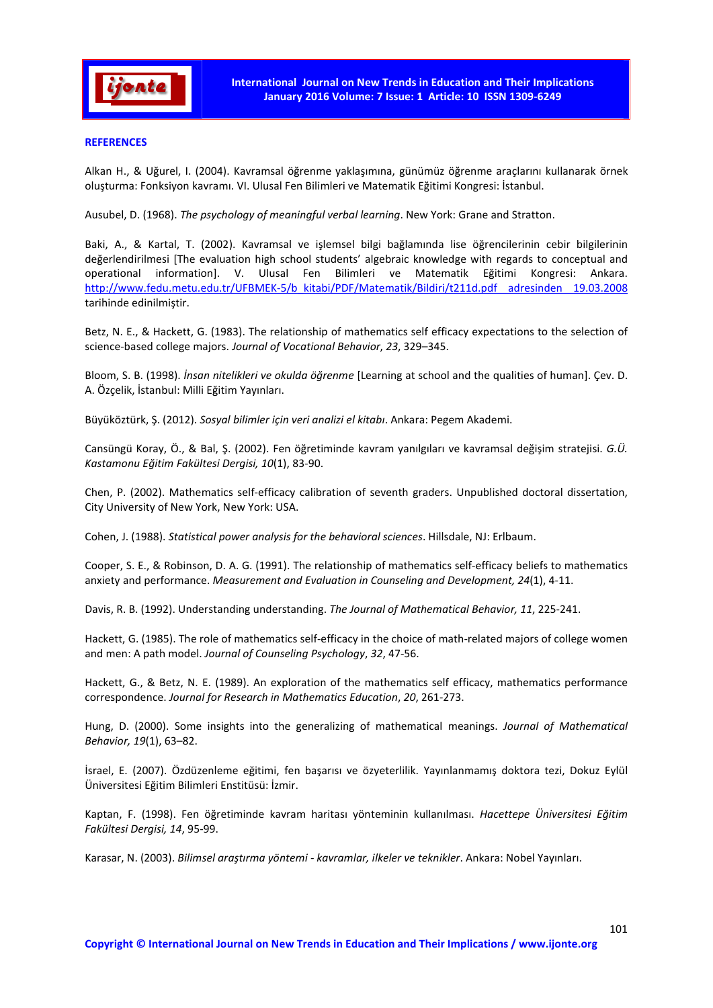

### **REFERENCES**

Alkan H., & Uğurel, I. (2004). Kavramsal öğrenme yaklaşımına, günümüz öğrenme araçlarını kullanarak örnek oluşturma: Fonksiyon kavramı. VI. Ulusal Fen Bilimleri ve Matematik Eğitimi Kongresi: İstanbul.

Ausubel, D. (1968). *The psychology of meaningful verbal learning*. New York: Grane and Stratton.

Baki, A., & Kartal, T. (2002). Kavramsal ve işlemsel bilgi bağlamında lise öğrencilerinin cebir bilgilerinin değerlendirilmesi [The evaluation high school students' algebraic knowledge with regards to conceptual and operational information]. V. Ulusal Fen Bilimleri ve Matematik Eğitimi Kongresi: Ankara. http://www.fedu.metu.edu.tr/UFBMEK-5/b\_kitabi/PDF/Matematik/Bildiri/t211d.pdf adresinden 19.03.2008 tarihinde edinilmiştir.

Betz, N. E., & Hackett, G. (1983). The relationship of mathematics self efficacy expectations to the selection of science-based college majors. *Journal of Vocational Behavior*, *23*, 329–345.

Bloom, S. B. (1998). *İnsan nitelikleri ve okulda öğrenme* [Learning at school and the qualities of human]. Çev. D. A. Özçelik, İstanbul: Milli Eğitim Yayınları.

Büyüköztürk, Ş. (2012). *Sosyal bilimler için veri analizi el kitabı*. Ankara: Pegem Akademi.

Cansüngü Koray, Ö., & Bal, Ş. (2002). Fen öğretiminde kavram yanılgıları ve kavramsal değişim stratejisi. *G.Ü. Kastamonu Eğitim Fakültesi Dergisi, 10*(1), 83-90.

Chen, P. (2002). Mathematics self-efficacy calibration of seventh graders. Unpublished doctoral dissertation, City University of New York, New York: USA.

Cohen, J. (1988). *Statistical power analysis for the behavioral sciences*. Hillsdale, NJ: Erlbaum.

Cooper, S. E., & Robinson, D. A. G. (1991). The relationship of mathematics self-efficacy beliefs to mathematics anxiety and performance. *Measurement and Evaluation in Counseling and Development, 24*(1), 4-11.

Davis, R. B. (1992). Understanding understanding. *The Journal of Mathematical Behavior, 11*, 225-241.

Hackett, G. (1985). The role of mathematics self-efficacy in the choice of math-related majors of college women and men: A path model. *Journal of Counseling Psychology*, *32*, 47-56.

Hackett, G., & Betz, N. E. (1989). An exploration of the mathematics self efficacy, mathematics performance correspondence. *Journal for Research in Mathematics Education*, *20*, 261-273.

Hung, D. (2000). Some insights into the generalizing of mathematical meanings. *Journal of Mathematical Behavior, 19*(1), 63–82.

İsrael, E. (2007). Özdüzenleme eğitimi, fen başarısı ve özyeterlilik. Yayınlanmamış doktora tezi, Dokuz Eylül Üniversitesi Eğitim Bilimleri Enstitüsü: İzmir.

Kaptan, F. (1998). Fen öğretiminde kavram haritası yönteminin kullanılması. *Hacettepe Üniversitesi Eğitim Fakültesi Dergisi, 14*, 95-99.

Karasar, N. (2003). *Bilimsel araştırma yöntemi - kavramlar, ilkeler ve teknikler*. Ankara: Nobel Yayınları.